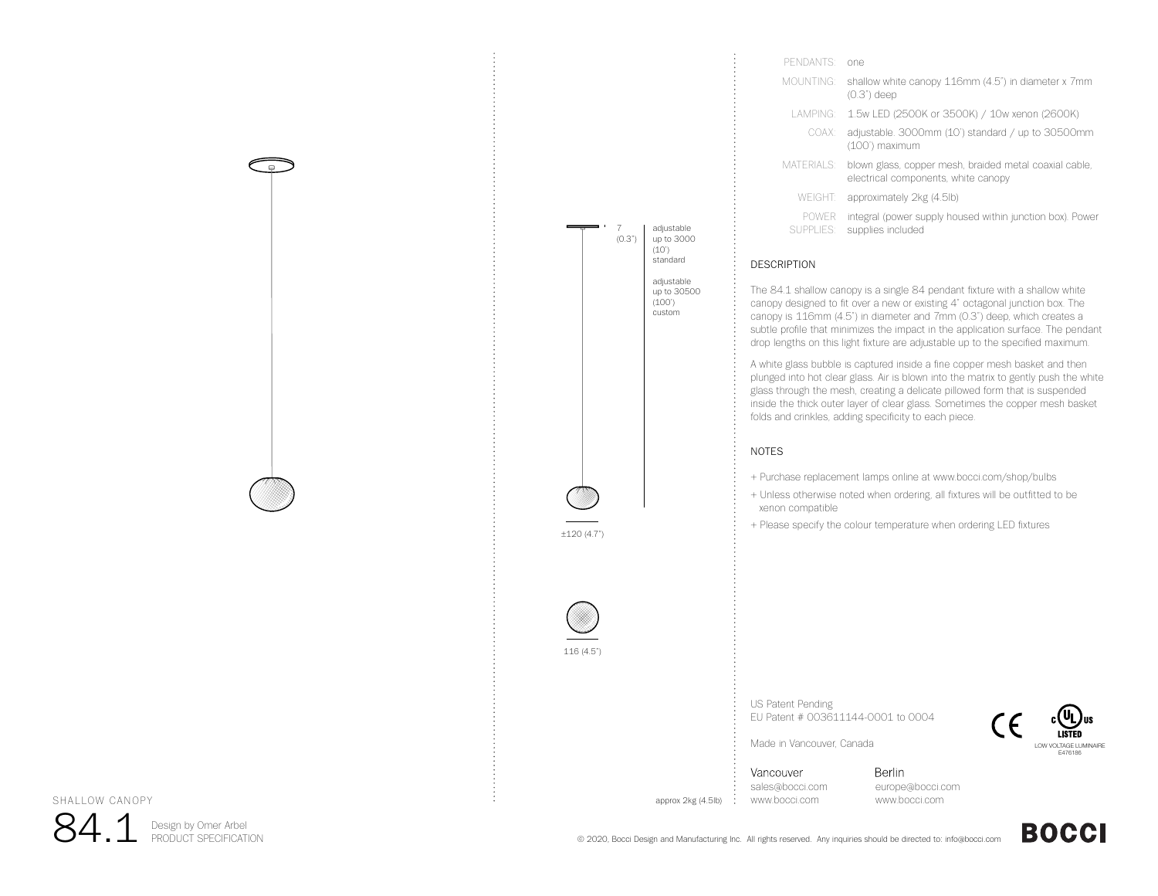

| PENDANTS <sup>.</sup>     | one                                                                                           |
|---------------------------|-----------------------------------------------------------------------------------------------|
| MOUNTING:                 | shallow white canopy 116mm (4.5") in diameter x 7mm<br>$(0.3")$ deep                          |
| I AMPING <sup>.</sup>     | 1.5w LED (2500K or 3500K) / 10w xenon (2600K)                                                 |
| COAX:                     | adjustable. 3000mm (10') standard / up to 30500mm<br>(100') maximum                           |
| MATERIALS:                | blown glass, copper mesh, braided metal coaxial cable,<br>electrical components, white canopy |
| WEIGHT:                   | approximately 2kg (4.5lb)                                                                     |
| <b>POWER</b><br>SUPPLIES: | integral (power supply housed within junction box). Power<br>supplies included                |

## DESCRIPTION

The 84.1 shallow canopy is a single 84 pendant fixture with a shallow white canopy designed to fit over a new or existing 4" octagonal junction box. The canopy is 116mm (4.5") in diameter and 7mm (0.3") deep, which creates a subtle profile that minimizes the impact in the application surface. The pendant drop lengths on this light fixture are adjustable up to the specified maximum.

A white glass bubble is captured inside a fine copper mesh basket and then plunged into hot clear glass. Air is blown into the matrix to gently push the white glass through the mesh, creating a delicate pillowed form that is suspended inside the thick outer layer of clear glass. Sometimes the copper mesh basket folds and crinkles, adding specificity to each piece.

## NOTES

- + Purchase replacement lamps online at www.bocci.com/shop/bulbs
- + Unless otherwise noted when ordering, all fixtures will be outfitted to be xenon compatible
- + Please specify the colour temperature when ordering LED fixtures

US Patent Pending EU Patent # 003611144-0001 to 0004



**BOCCI** 

Made in Vancouver, Canada

Vancouver sales@bocci.com approx 2kg (4.5lb) www.bocci.com

Berlin europe@bocci.com www.bocci.com

SHALLOW CANOPY

84.1Design by Omer Arbel<br>PRODUCT SPECIFICATION

© 2020, Bocci Design and Manufacturing Inc. All rights reserved. Any inquiries should be directed to: info@bocci.com